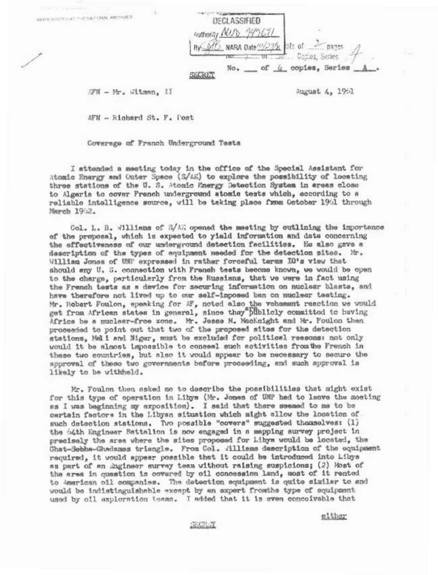| Authority NUD | DECLASSIFIED                              |                |
|---------------|-------------------------------------------|----------------|
|               | 015 NARA Date <sup>10</sup> /23/31 Sts of |                |
|               | No.<br>оĽ                                 | copies, Series |

AFN - Mr. Witman, II

REPRINTED AT THE SATIONAL ARCHIVES

August 4, 1961

AFN - Richard St. F. Post

Coverage of Franch Underground Tests

I sttended a meeting today in the office of the Special Assistant for Atomic Energy and Outer Space (S/AE) to explore the possibility of locating three stations of the U. S. Monic Pnergy Detection System in areas close to Algeria to cover French underground atomic tests which, according to a reliable intalligence source, will be taking place from October 1961 through March 19:2.

Col. L. B. Williams of S/AE opened the meeting by outlining the importance of the proposal, which is expected to yield information and data concerning the effectiveness of our underground detection facilities. He also gave a description of the types of equipment meeded for the detection sites. Mr. William Jones of UNP expressed in rather forceful terms IO's view that should any U. S. connection with French tests become known, we would be open to the charge, particularly from the Russians, that we were in fact using the French tests as a device for securing information on nuclear blasts, and have therefore not lived up to car self-imposed ban on nuclear testing. Mr. Robert Foulon, epeaking for MF, noted also the vehammat reaction we would get from African states in general, since they"Biblicly committed to having Africa be a nuclear-free zone. Mr. Josse M. Macknight and Mr. Foulon then proceeded to point out that two of the proposed sites for the detection stations, Mali and Miger, must be excluded for political reesons: not only would it be almost impossible to conceal such activities from the French in these two countries, but also it would sppear to be necessary to secure the approval of these two governments before proceeding, and such spproval is likely to be withheld.

Mr. Foulon then asked me to describe the possibilities that might exist for this type of operation in Libys (Mr. Jones of UNP had to leave the moeting as I was beginning my exposition). I said that there seemed to me to be certain factors in the Libyan situation which might sllow the location of such detection stations. Two possible "covers" suggested themselves: (1) the b4th Engineer Battalion is now engaged in a mapping survey project in precisely the area where the sites proposed for Libys would be located, the Chat-Sebha-Ghadsmas triangle. From Col. Williams description of the equipment required, it would appear possible that it could be introduced into Libya as part of an Engineer survey team without raising suspicions; (2) Most of the area in question is covered by oil concession land, most of it rented to American oil companies. The detection equipment is quite similar to and would be indistinguishable except by an expert fromthe type of equipment used by oil exploration teams. I added that it is even conceivable that

either

SECRIT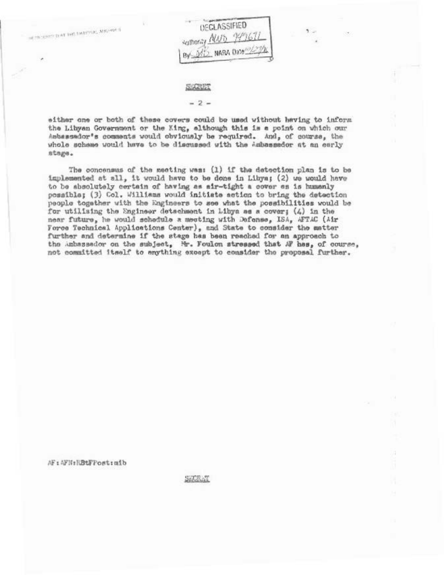IN TREASURED AT THE EMPIRE, MICHAEL

**DECLASSIFIED** suthority NUD 99967 By MD NABA Date

#### SECRET

#### $-2-$

either one or both of these covers could be used without having to inform the Libyan Government or the Xing, although this is a point on which our Asbassador's comments would obviously be required. And, of course, the whole scheme would have to be discussed with the Ambassador at an early stage.

The concensus of the meeting was: (1) if the detection plan is to be implemented at all, it would have to be done in Libya; (2) we would have to be absolutely certain of having as sir-tight a cover es is humanly possible; (3) Col. Williams would initiate action to bring the detection people together with the Engineers to see what the possibilities would be for utilising the Engineer detachment in Libya as a cover; (4) in the near future, he would schedule a meeting with Defense, ISA, AFTAC (Air Force Technical Applications Center), and State to consider the matter further and determine if the stage has been reached for an approach to the unbassador on the subject, Mr. Foulon stressed that AF has, of course, not committed itself to enything except to consider the proposal further.

AF: AFN:RBtFPost:mib

SECRET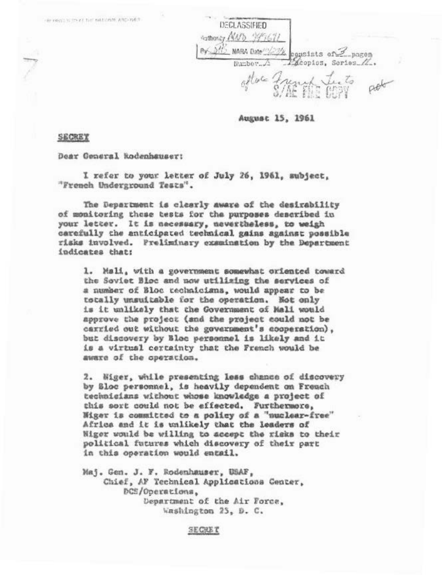FREE HOLD TO STATE THE EAST CREW AND THE T

| DECLASSIFIED<br>Authority De. |                        |
|-------------------------------|------------------------|
| NARA Date                     | usists of<br>$-$ pagen |
| Number                        | Copios, Series         |
|                               |                        |

August 15, 1961

SECREY

Dear General Rodenhauser:

I refer to your letter of July 26, 1961, subject, "French Underground Tests".

The Department is clearly aware of the desirability of monitoring these tests for the purposes described in your letter. It is necessary, nevertheless, to weigh carefully the anticipated technical gains against possible risks involved. Preliminary examination by the Department indicates that:

1. Mali, with a government somewhat oriented toward the Soviet Bloc and now utilizing the services of a number of Bloc rechnicians, would appear to be totally unsuitable for the operation. Not only is it unlikely that the Government of Mali would approve the project (and the project could not be carried out without the government's cooperation). but discovery by Bloc personnel is likely and it is a virtual certainty that the French would be aware of the operation.

2. Wiger, while presenting less chance of discovery by Sloc personnel, is heavily dependent on Freuch technicians without whose knowledge a project of this sort could not be effected. Furthermore, Wiger is committed to a policy of a "nuclear-free" Africa and it is unlikely that the leaders of Niger would be willing to accept the rigks to their political futures which discovery of their part in this operation would entail.

Maj. Gen. J. F. Rodenhauser, USAF, Chief, AF Technical Applications Center, DCS/Operations, Department of the Air Force. Washington 25, D. C.

SECRET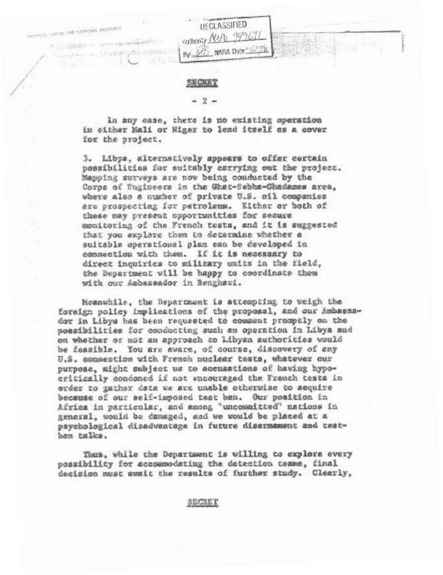PERTY OF STOLAR THE VATICIAL ARCHIVES

File Option in increases compared

法药品的名词

# **UEGLASSIFIED** suthority NUD 195671 By DID NARA Date

### **SECRET**

### $-2 -$

In any case, there is no existing operation in either Mali or Higar to lend itself as a cover for the project.

3. Libya, alternatively appears to offer certain possibilities for suitably esrrying out the project. Mapping surveys are now being conducted by the Corps of Wagineers in the Ghat-Sebha-Ghadames area, where also a number of private U.S. oil companies are prospecting for petroleum. Either or both of these may present opportunities for secure monitoring of the French tests, and it is suggested that you explore them to determine whether a suitable operational plan can be developed in connection with them. If it is necessary to direct inquiries to military units in the field, the Department will be happy to coordinate them with our Ambassador in Benghazi.

Meanwhile, the Department is attempting to weigh the foreign policy implications of the proposal, and our Ambassador in Libys has been requested to comment promptly on the possibilities for conducting such an operation in Libya and on whether or not an approach to Libyan authorities would be feasible. You are aware, of course, discovery of any U.S. consection with French nuclear tests, whatever our purposa, might subject us to accusations of having hypocritically condoned if not wacouraged the French tests in order to gather data we are unable otherwise to acquire because of our self-imposed test ban. Our position in Africa in particular, and among "uncommitted" nations in general, would be damaged, and we would be placed at a psychological dipadvantage in future dissumment and testban talks.

Thus, while the Department is willing to explore every possibility for accommodating the detection teams, final decision must await the results of further study. Clearly,

SECRET